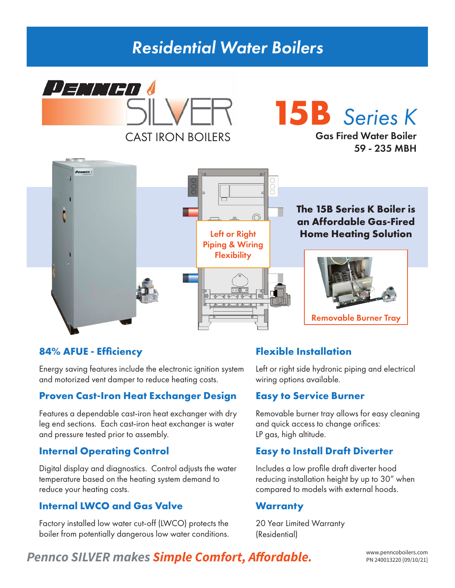## *Residential Water Boilers*



# **15B** *Series K*

Gas Fired Water Boiler 59 - 235 MBH



### **84% AFUE - Efficiency**

Energy saving features include the electronic ignition system and motorized vent damper to reduce heating costs.

#### **Proven Cast-Iron Heat Exchanger Design**

Features a dependable cast-iron heat exchanger with dry leg end sections. Each cast-iron heat exchanger is water and pressure tested prior to assembly.

### **Internal Operating Control**

Digital display and diagnostics. Control adjusts the water temperature based on the heating system demand to reduce your heating costs.

### **Internal LWCO and Gas Valve**

Factory installed low water cut-off (LWCO) protects the boiler from potentially dangerous low water conditions.

### **Flexible Installation**

Left or right side hydronic piping and electrical wiring options available.

#### **Easy to Service Burner**

Removable burner tray allows for easy cleaning and quick access to change orifices: LP gas, high altitude.

## **Easy to Install Draft Diverter**

Includes a low profile draft diverter hood reducing installation height by up to 30" when compared to models with external hoods.

#### **Warranty**

20 Year Limited Warranty (Residential)

## Pennco SILVER makes **Simple Comfort, Affordable.** WWW.penncoboilers.com